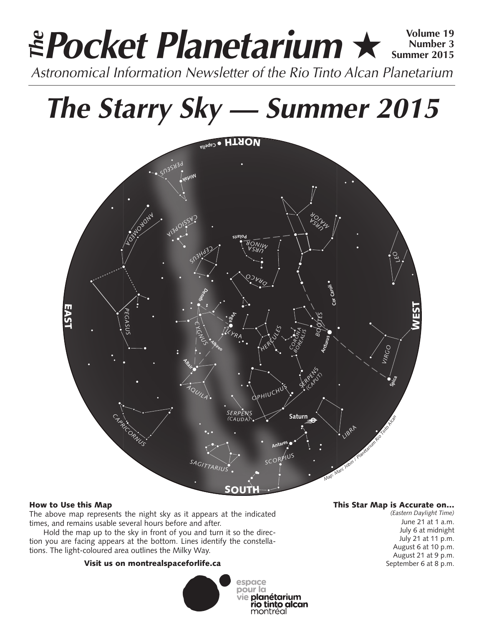# **Pocket Planetarium** ★ **Volume 19** Astronomical Information Newsletter of the Rio Tinto Alcan Planetarium **The Number 3 Summer 2015**

# **The Starry Sky — Summer 2015**



# How to Use this Map

The above map represents the night sky as it appears at the indicated times, and remains usable several hours before and after.

Hold the map up to the sky in front of you and turn it so the direction you are facing appears at the bottom. Lines identify the constellations. The light-coloured area outlines the Milky Way.

# Visit us on montrealspaceforlife.ca



# This Star Map is Accurate on…

*(Eastern Daylight Time)* June 21 at 1 a.m. July 6 at midnight July 21 at 11 p.m. August 6 at 10 p.m. August 21 at 9 p.m. September 6 at 8 p.m.